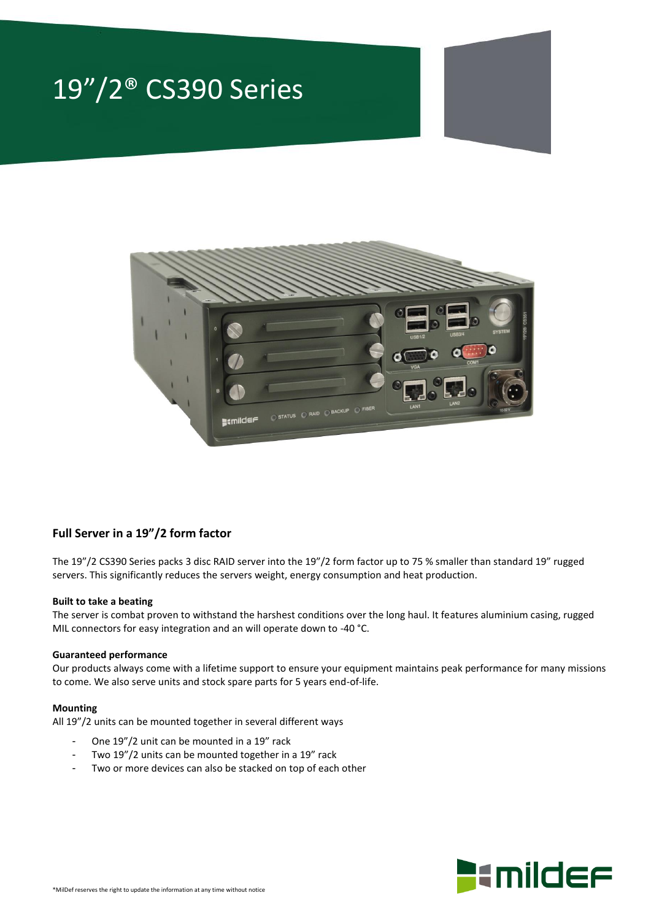# 19"/2® CS390 Series



### **Full Server in a 19"/2 form factor**

The 19"/2 CS390 Series packs 3 disc RAID server into the 19"/2 form factor up to 75 % smaller than standard 19" rugged servers. This significantly reduces the servers weight, energy consumption and heat production.

#### **Built to take a beating**

The server is combat proven to withstand the harshest conditions over the long haul. It features aluminium casing, rugged MIL connectors for easy integration and an will operate down to -40 °C.

#### **Guaranteed performance**

Our products always come with a lifetime support to ensure your equipment maintains peak performance for many missions to come. We also serve units and stock spare parts for 5 years end-of-life.

#### **Mounting**

All 19"/2 units can be mounted together in several different ways

- One 19"/2 unit can be mounted in a 19" rack
- Two 19"/2 units can be mounted together in a 19" rack
- Two or more devices can also be stacked on top of each other

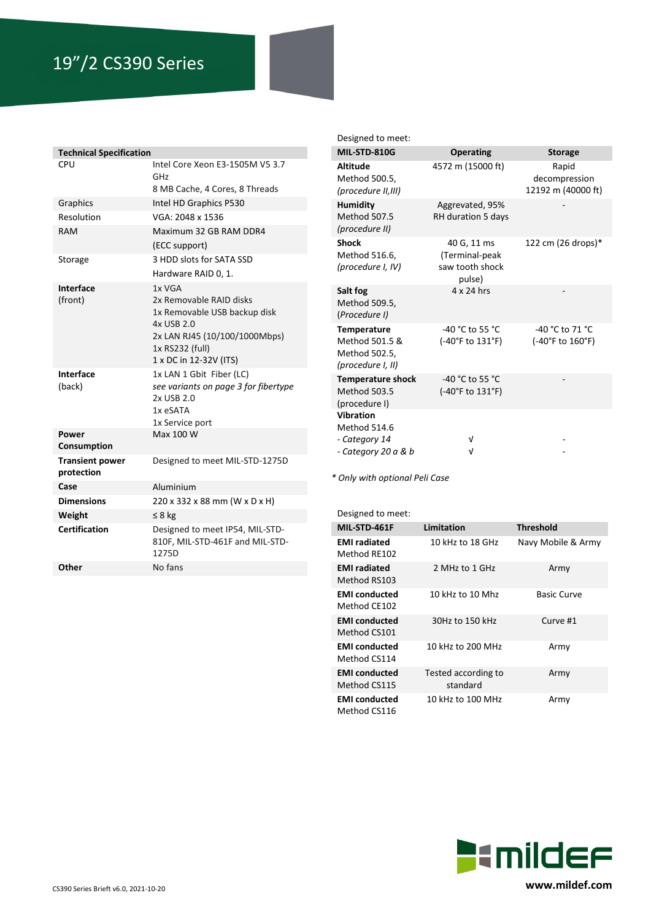# 19"/2 CS390 Series

| <b>Technical Specification</b>       |                                                                                                                                                               |  |  |  |
|--------------------------------------|---------------------------------------------------------------------------------------------------------------------------------------------------------------|--|--|--|
| CPU                                  | Intel Core Xeon E3-1505M V5 3.7<br>GHz                                                                                                                        |  |  |  |
|                                      | 8 MB Cache, 4 Cores, 8 Threads                                                                                                                                |  |  |  |
| Graphics                             | Intel HD Graphics P530                                                                                                                                        |  |  |  |
| Resolution                           | VGA: 2048 x 1536                                                                                                                                              |  |  |  |
| RAM                                  | Maximum 32 GB RAM DDR4                                                                                                                                        |  |  |  |
|                                      | (ECC support)                                                                                                                                                 |  |  |  |
| Storage                              | 3 HDD slots for SATA SSD                                                                                                                                      |  |  |  |
|                                      | Hardware RAID 0, 1.                                                                                                                                           |  |  |  |
| Interface<br>(front)                 | 1x VGA<br>2x Removable RAID disks<br>1x Removable USB backup disk<br>4x USB 2.0<br>2x LAN RJ45 (10/100/1000Mbps)<br>1x RS232 (full)<br>1 x DC in 12-32V (ITS) |  |  |  |
| Interface<br>(back)                  | 1x LAN 1 Gbit Fiber (LC)<br>see variants on page 3 for fibertype<br>2x USB 2.0<br>1x eSATA<br>1x Service port                                                 |  |  |  |
| Power<br>Consumption                 | Max 100 W                                                                                                                                                     |  |  |  |
| <b>Transient power</b><br>protection | Designed to meet MIL-STD-1275D                                                                                                                                |  |  |  |
| Case                                 | Aluminium                                                                                                                                                     |  |  |  |
| <b>Dimensions</b>                    | 220 x 332 x 88 mm (W x D x H)                                                                                                                                 |  |  |  |
| Weight                               | $\leq 8$ kg                                                                                                                                                   |  |  |  |
| Certification                        | Designed to meet IP54, MIL-STD-<br>810F, MIL-STD-461F and MIL-STD-<br>1275D                                                                                   |  |  |  |
| Other                                | No fans                                                                                                                                                       |  |  |  |

Designed to meet:

| <b>MIL-STD-810G</b>                                                        | <b>Operating</b>                                           | <b>Storage</b>                               |
|----------------------------------------------------------------------------|------------------------------------------------------------|----------------------------------------------|
| <b>Altitude</b><br>Method 500.5,<br>(procedure II,III)                     | 4572 m (15000 ft)                                          | Rapid<br>decompression<br>12192 m (40000 ft) |
| <b>Humidity</b><br><b>Method 507.5</b><br>(procedure II)                   | Aggrevated, 95%<br>RH duration 5 days                      |                                              |
| <b>Shock</b><br>Method 516.6,<br>(procedure I, IV)                         | 40 G, 11 ms<br>(Terminal-peak<br>saw tooth shock<br>pulse) | 122 cm (26 drops)*                           |
| Salt fog<br>Method 509.5,<br>(Procedure I)                                 | $4 \times 24$ hrs                                          |                                              |
| <b>Temperature</b><br>Method 501.5 &<br>Method 502.5,<br>(procedure I, II) | -40 °C to 55 °C<br>(-40°F to 131°F)                        | -40 °C to 71 °C<br>(-40°F to 160°F)          |
| <b>Temperature shock</b><br><b>Method 503.5</b><br>(procedure I)           | -40 °C to 55 °C<br>(-40°F to 131°F)                        |                                              |
| <b>Vibration</b><br>Method 514.6                                           |                                                            |                                              |
| - Category 14<br>- Category 20 a & b                                       | ν<br>ν                                                     |                                              |

*\* Only with optional Peli Case*

| Designed to meet:                    |                                 |                    |  |  |  |
|--------------------------------------|---------------------------------|--------------------|--|--|--|
| MIL-STD-461F                         | Limitation                      | <b>Threshold</b>   |  |  |  |
| <b>EMI</b> radiated<br>Method RF102  | 10 kHz to 18 GHz                | Navy Mobile & Army |  |  |  |
| <b>EMI radiated</b><br>Method RS103  | 2 MHz to 1 GHz                  | Army               |  |  |  |
| <b>EMI</b> conducted<br>Method CE102 | 10 kHz to 10 Mhz                | <b>Basic Curve</b> |  |  |  |
| <b>EMI</b> conducted<br>Method CS101 | 30Hz to 150 kHz                 | Curve #1           |  |  |  |
| <b>EMI</b> conducted<br>Method CS114 | 10 kHz to 200 MHz               | Army               |  |  |  |
| <b>EMI</b> conducted<br>Method CS115 | Tested according to<br>standard | Army               |  |  |  |
| <b>EMI</b> conducted<br>Method CS116 | 10 kHz to 100 MHz               | Army               |  |  |  |